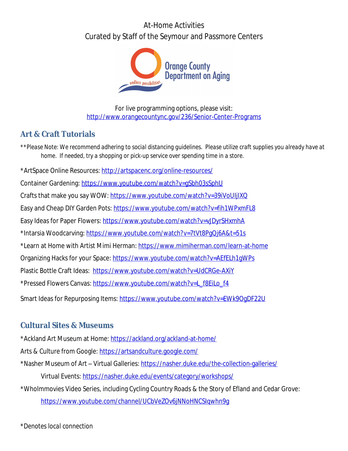# At-Home Activities Curated by Staff of the Seymour and Passmore Centers



For live programming options, please visit: <http://www.orangecountync.gov/236/Senior-Center-Programs>

### **Art & Craft Tutorials**

*\*\*Please Note: We recommend adhering to social distancing guidelines. Please utilize craft supplies you already have at home. If needed, try a shopping or pick-up service over spending time in a store.* \*ArtSpace Online Resources: <http://artspacenc.org/online-resources/> Container Gardening:<https://www.youtube.com/watch?v=gSbh03sSphU> Crafts that make you say WOW:<https://www.youtube.com/watch?v=39iVoUIjIXQ> Easy and Cheap DIY Garden Pots: <https://www.youtube.com/watch?v=fih1WPxmFL8> Easy Ideas for Paper Flowers: <https://www.youtube.com/watch?v=vJDyrSHxmhA> \*Intarsia Woodcarving: <https://www.youtube.com/watch?v=7tVt8PgQj6A&t=51s> \*Learn at Home with Artist Mimi Herman:<https://www.mimiherman.com/learn-at-home> Organizing Hacks for your Space:<https://www.youtube.com/watch?v=AEfELh1gWPs> Plastic Bottle Craft Ideas: <https://www.youtube.com/watch?v=UdCRGe-AXiY> \*Pressed Flowers Canvas: [https://www.youtube.com/watch?v=L\\_f8EiLo\\_f4](https://www.youtube.com/watch?v=L_f8EiLo_f4) Smart Ideas for Repurposing Items:<https://www.youtube.com/watch?v=EWk9OgDF22U>

### **Cultural Sites & Museums**

\*Ackland Art Museum at Home: <https://ackland.org/ackland-at-home/>

Arts & Culture from Google:<https://artsandculture.google.com/>

\*Nasher Museum of Art – Virtual Galleries:<https://nasher.duke.edu/the-collection-galleries/>

Virtual Events:<https://nasher.duke.edu/events/category/workshops/>

\*Wholmmovies Video Series, including Cycling Country Roads & the Story of Efland and Cedar Grove:

<https://www.youtube.com/channel/UCbVeZOv6jNNoHNCSIqwhn9g>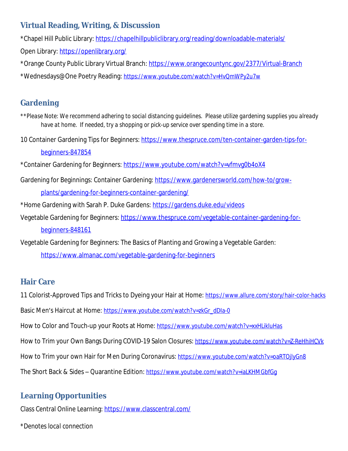### **Virtual Reading, Writing, & Discussion**

\*Chapel Hill Public Library:<https://chapelhillpubliclibrary.org/reading/downloadable-materials/> Open Library: <https://openlibrary.org/>

\*Orange County Public Library Virtual Branch: <https://www.orangecountync.gov/2377/Virtual-Branch>

\*Wednesdays@One Poetry Reading: <https://www.youtube.com/watch?v=HvQmWPy2u7w>

## **Gardening**

*\*\*Please Note: We recommend adhering to social distancing guidelines. Please utilize gardening supplies you already have at home. If needed, try a shopping or pick-up service over spending time in a store.*

10 Container Gardening Tips for Beginners: [https://www.thespruce.com/ten-container-garden-tips-for](https://www.thespruce.com/ten-container-garden-tips-for-beginners-847854)beginners-847854

\*Container Gardening for Beginners:<https://www.youtube.com/watch?v=vfmvg0b4oX4>

- Gardening for Beginnings: Container Gardening: [https://www.gardenersworld.com/how-to/grow](https://www.gardenersworld.com/how-to/grow-plants/gardening-for-beginners-container-gardening/)plants/gardening-for-beginners-container-gardening/
- \*Home Gardening with Sarah P. Duke Gardens: <https://gardens.duke.edu/videos>
- Vegetable Gardening for Beginners: [https://www.thespruce.com/vegetable-container-gardening-for](https://www.thespruce.com/vegetable-container-gardening-for-beginners-848161)beginners-848161

Vegetable Gardening for Beginners: The Basics of Planting and Growing a Vegetable Garden:

<https://www.almanac.com/vegetable-gardening-for-beginners>

### **Hair Care**

11 Colorist-Approved Tips and Tricks to Dyeing your Hair at Home: <https://www.allure.com/story/hair-color-hacks>

Basic Men's Haircut at Home: [https://www.youtube.com/watch?v=zkGr\\_dDIa-0](https://www.youtube.com/watch?v=zkGr_dDIa-0)

How to Color and Touch-up your Roots at Home: <https://www.youtube.com/watch?v=xxHLikluHas>

How to Trim your Own Bangs During COVID-19 Salon Closures: <https://www.youtube.com/watch?v=Z-ReHhiHCVk>

How to Trim your own Hair for Men During Coronavirus: <https://www.youtube.com/watch?v=oaRTOjlyGn8>

The Short Back & Sides – Quarantine Edition: <https://www.youtube.com/watch?v=iaLKHMGbfGg>

# **Learning Opportunities**

Class Central Online Learning: <https://www.classcentral.com/>

*\*Denotes local connection*